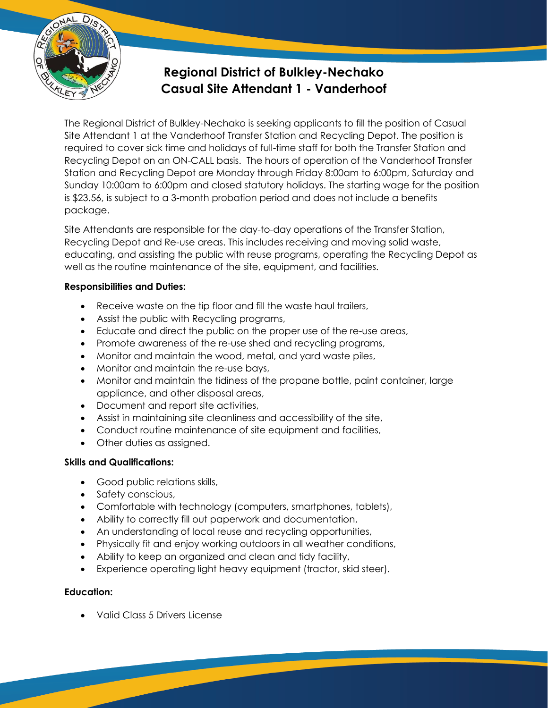

# **Regional District of Bulkley-Nechako Casual Site Attendant 1 - Vanderhoof**

The Regional District of Bulkley-Nechako is seeking applicants to fill the position of Casual Site Attendant 1 at the Vanderhoof Transfer Station and Recycling Depot. The position is required to cover sick time and holidays of full-time staff for both the Transfer Station and Recycling Depot on an ON-CALL basis. The hours of operation of the Vanderhoof Transfer Station and Recycling Depot are Monday through Friday 8:00am to 6:00pm, Saturday and Sunday 10:00am to 6:00pm and closed statutory holidays. The starting wage for the position is \$23.56, is subject to a 3-month probation period and does not include a benefits package.

Site Attendants are responsible for the day-to-day operations of the Transfer Station, Recycling Depot and Re-use areas. This includes receiving and moving solid waste, educating, and assisting the public with reuse programs, operating the Recycling Depot as well as the routine maintenance of the site, equipment, and facilities.

#### **Responsibilities and Duties:**

- Receive waste on the tip floor and fill the waste haul trailers,
- Assist the public with Recycling programs,
- Educate and direct the public on the proper use of the re-use areas,
- Promote awareness of the re-use shed and recycling programs,
- Monitor and maintain the wood, metal, and yard waste piles,
- Monitor and maintain the re-use bays,
- Monitor and maintain the tidiness of the propane bottle, paint container, large appliance, and other disposal areas,
- Document and report site activities,
- Assist in maintaining site cleanliness and accessibility of the site,
- Conduct routine maintenance of site equipment and facilities,
- Other duties as assigned.

## **Skills and Qualifications:**

- Good public relations skills,
- Safety conscious,
- Comfortable with technology (computers, smartphones, tablets),
- Ability to correctly fill out paperwork and documentation,
- An understanding of local reuse and recycling opportunities,
- Physically fit and enjoy working outdoors in all weather conditions,
- Ability to keep an organized and clean and tidy facility,
- Experience operating light heavy equipment (tractor, skid steer).

## **Education:**

• Valid Class 5 Drivers License